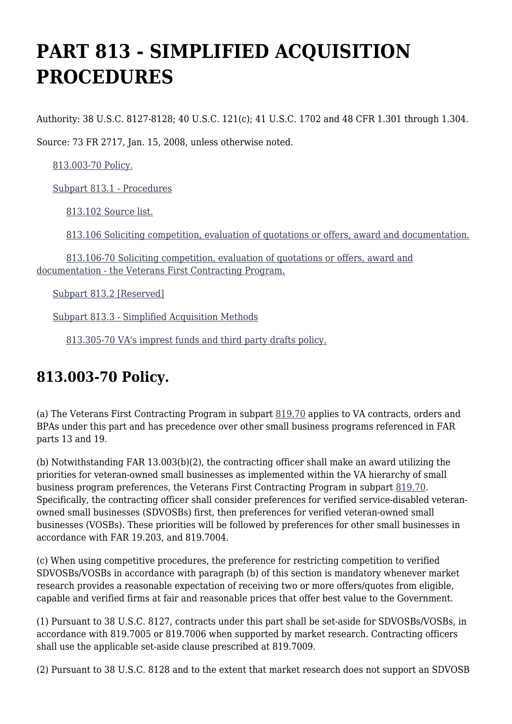# **PART 813 - SIMPLIFIED ACQUISITION PROCEDURES**

Authority: 38 U.S.C. 8127-8128; 40 U.S.C. 121(c); 41 U.S.C. 1702 and 48 CFR 1.301 through 1.304.

Source: 73 FR 2717, Jan. 15, 2008, unless otherwise noted.

[813.003-70 Policy.](https://www.acquisition.gov/%5Brp:link:vaar-part-813%5D#Section_813_003_70_T48_5021114011)

[Subpart 813.1 - Procedures](https://www.acquisition.gov/%5Brp:link:vaar-part-813%5D#Subpart_813_1_T48_50211141)

[813.102 Source list.](https://www.acquisition.gov/%5Brp:link:vaar-part-813%5D#Section_813_102_T48_5021114111)

[813.106 Soliciting competition, evaluation of quotations or offers, award and documentation.](https://www.acquisition.gov/%5Brp:link:vaar-part-813%5D#Section_813_106_T48_5021114112)

 [813.106-70 Soliciting competition, evaluation of quotations or offers, award and](https://www.acquisition.gov/%5Brp:link:vaar-part-813%5D#Section_813_106_70_T48_5021114113) [documentation - the Veterans First Contracting Program.](https://www.acquisition.gov/%5Brp:link:vaar-part-813%5D#Section_813_106_70_T48_5021114113)

[Subpart 813.2 \[Reserved\]](https://www.acquisition.gov/%5Brp:link:vaar-part-813%5D#Subpart_813_2_T48_50211142)

[Subpart 813.3 - Simplified Acquisition Methods](https://www.acquisition.gov/%5Brp:link:vaar-part-813%5D#Subpart_813_3_T48_50211143)

[813.305-70 VA's imprest funds and third party drafts policy.](https://www.acquisition.gov/%5Brp:link:vaar-part-813%5D#Section_813_305_70_T48_5021114311)

### **813.003-70 Policy.**

(a) The Veterans First Contracting Program in subpart [819.70](https://www.acquisition.gov/%5Brp:link:vaar-part-819%5D#Subpart_819_70_T48_50212197) applies to VA contracts, orders and BPAs under this part and has precedence over other small business programs referenced in FAR parts 13 and 19.

(b) Notwithstanding FAR 13.003(b)(2), the contracting officer shall make an award utilizing the priorities for veteran-owned small businesses as implemented within the VA hierarchy of small business program preferences, the Veterans First Contracting Program in subpart [819.70](https://www.acquisition.gov/%5Brp:link:vaar-part-819%5D#Subpart_819_70_T48_50212197). Specifically, the contracting officer shall consider preferences for verified service-disabled veteranowned small businesses (SDVOSBs) first, then preferences for verified veteran-owned small businesses (VOSBs). These priorities will be followed by preferences for other small businesses in accordance with FAR 19.203, and 819.7004.

(c) When using competitive procedures, the preference for restricting competition to verified SDVOSBs/VOSBs in accordance with paragraph (b) of this section is mandatory whenever market research provides a reasonable expectation of receiving two or more offers/quotes from eligible, capable and verified firms at fair and reasonable prices that offer best value to the Government.

(1) Pursuant to 38 U.S.C. 8127, contracts under this part shall be set-aside for SDVOSBs/VOSBs, in accordance with 819.7005 or 819.7006 when supported by market research. Contracting officers shall use the applicable set-aside clause prescribed at 819.7009.

(2) Pursuant to 38 U.S.C. 8128 and to the extent that market research does not support an SDVOSB